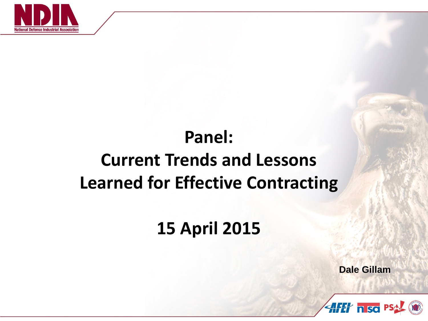

## **Panel: Current Trends and Lessons Learned for Effective Contracting**

#### **15 April 2015**

**Dale Gillam**

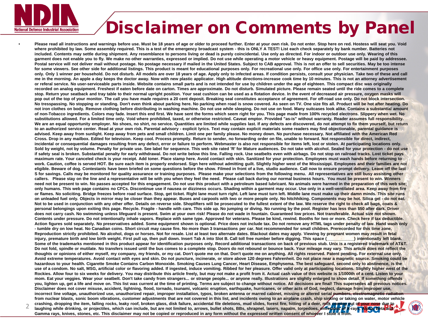

#### Disclaimer on Comments by Panel

• **Please read all instructions and warnings before use. Must be 18 years of age or older to proceed further. Enter at your own risk. Do not enter. Stop here on red. Hostess will seat you. Void where prohibited by law. Some assembly required. This is a test of the emergency broadcast system - this is ONLY A TEST! List each check separately by bank number. Batteries not included. Contents may settle during shipment. Any resemblance to persons living or dead is purely coincidental. Use only as directed. For indoor or outdoor use only. Wearing of this garment does not enable you to fly. We make no other warranties, expressed or implied. Do not use while operating a motor vehicle or heavy equipment. Postage will be paid by addressee.**  Postal service will not deliver mail without postage. No postage necessary if mailed in the United States. Subject to CAB approval. This is not an offer to sell securities. May be too intense for some viewers. See other side for additional listings. This product is meant for educational purposes only. For recreational use only. For office use only. For entertainment purposes **only. Only 1 winner per household. Do not disturb. All models are over 18 years of age. Apply only to infected areas. If condition persists, consult your physician. Take two of these and call me in the morning. An apple a day keeps the doctor away. Now with new plastic applicator. High altitude directions-increase cook time by 10 minutes. This is not an attorney advertisement or referal service. No user-serviceable parts inside. Website contains small parts and is not intended for use by children under the age of eighteen. This compact disc was originally recorded on analog equipment. Freshest if eaten before date on carton. Times are approximate. Do not disturb. Simulated picture. Please remain seated until the ride comes to a complete stop. Return your seatback and tray table to their normal upright position. Your seat cushion can be used as a flotation device. In the event of decreased air pressure, oxygen masks will**  pop out of the top of your monitor. The call you have made requires a 20 cent deposit. Breaking seal constitutes acceptance of agreement. For off-road use only. Do not block intersection. **No tresspassing. No stopping or standing. Don't even think about parking here. No parking when road is snow covered. As seen on TV. One size fits all. Product will be hot after heating. Do not iron clothes on body. Remove clothing before distributing in washing machine. Do not use while sleeping. Do not use on food. Many suitcases look alike. Contains a substantial amount of non-Tobacco ingredients. Colors may fade. Insert this end first. We have sent the forms which seem right for you. This page made from 100% recycled electrons. Slippery when wet. No**  substitutions allowed. For a limited time only, Void where prohibited, taxed, or otherwise restricted, Caveat emptor, Provided "as-is" without warranty, Reader assumes full responsibility, We are an equal opportunity employer. No shoes, no shirt, no service. Quantities are limited while supplies last. If any defects are discovered, do not attempt to fix them yourself, but return **to an authorized service center. Read at your own risk. Parental advisory - explicit lyrics. Text may contain explicit materials some readers may find objectionable, parental guidance is**  advised. Keep away from sunlight. Keep away from pets and small children. Limit one per family please. No money down. No purchase necessary. Not affiliated with the American Red **Cross. Drop in any mailbox. Edited for television. Keep cool. Process promptly. Return to sender, no forwarding order on file, unable to forward. Not responsible for direct, indirect, incidental or consequential damages resulting from any defect, error or failure to perform. Webmaster is also not responsible for items left, lost or stolen. At participating locations only. Sold by weight, not by volume. Penalty for private use. See label for sequence. This web site rated 'R' for Mature audiences. Do not take with alcohol. Sealed for your protection - do not use if safety seal is broken. Substantial penalty for early withdrawal. Do not write below this line. Falling rock. Use seatbelts even with airbags. Do not stop on railroad tracks. Lost ticket pays maximum rate. Your canceled check is your receipt. Add toner. Place stamp here. Avoid contact with skin. Sanitized for your protection. Employees must wash hands before returning to**  work. Caution, coffee is served HOT. Be sure each item is properly endorsed. Sign here without admitting guilt. Slightly higher west of the Mississippi. Employees and their families are not **eligible. Beware of dog. Contestants have been briefed on some questions before the show. Filmed in front of a live, studio audience. Call now to ensure prompt delivery. Leave off the last**  S for savings. Calls may be monitored for quality assurance or training purposes. Please make your selections from the following menu. All representatives are still busy assisting other callers. Please stay on the line and a representative will be with you when they feel the need. Please call back during our normal business hours. You must be present to win. Winners **need not be present to win. No passes accepted for this engagement. Do not use this product with a petroleum based lubricant. No animals were harmed in the preparation of this web site; only humans. This web page contains no CFCs. Discontinue use if nausea or dizziness occurs. Shading within a garment may occur. Use only in a well-ventilated area. Keep away from fire**  or flames. No soliciting. Bridge freezes before road surface. Stop, get ticket. Right lane must turn right. Left lane must turn left. Middle lane must make up their damn minds. This site runs **on unleaded fuel only. Objects in mirror may be closer than they appear. Buses and carpools with two or more people only. No hitchhiking. Components may be hot. Silica gel - do not eat.**  Not to be used in conjunction with any other offer. Details on reverse side. Shoplifters will be prosecuted to the fullest extent of the law. We reserve the right to check all bags, coats & **personal belongings upon exiting this page. Recycle. Fragile - handle with care. This side up. No jumping or diving. No running by the pool. Register has less than \$50 after dark. Driver does not carry cash. No swimming unless lifeguard is present. Swim at your own risk! Please do not wade in fountain. Guaranteed low prices. Not transferable. Actual size not shown.**  Contents under pressure. Do not intentionally inhale vapors. Replace with same type. Approved for veterans. Please be kind, rewind. Booths for two or more. Check here if tax deductible. **Action figures sold separately. No preservatives added. Some equipment shown is optional. Price does not include tax. Do not remove any HTML tags under penalty of law. Hand wash only - tumble dry on low heat. No Canadian coins. Short circuit may cause fire. No more than 3 transactions per car. Not recommended for small children. Prerecorded for this time zone.**  Reproduction strictly prohibited. No alcohol, dogs or horses. Not for resale. List at least two alternate dates. Blackout dates may apply. Viewing by pregnant women may result in fetal **injury, premature birth and low birth weight. First pull up, then pull down. Insert Tab A into Slot B. Call toll free number before digging. This space (\_\_\_\_\_\_\_\_\_\_\_\_) intentionally left blank. Some of the trademarks mentioned in this product appear for identification purposes only. Record additional transactions on back of previous stub. Unix is a registered trademark of AT&T.**  Do not fold, spindle or mutilate. No transfers issued until the bus comes to a complete stop. Doors do not rebound or bounce back. Your mileage may vary. This article does not reflect the **thoughts or opinions of either myself, my company, my friends, or my cat. Don't quote me on that. Don't quote me on anything. All rights reserved. Patent pending. For external use only. Avoid extreme temperatures. Avoid contact with eyes and skin. Do not puncture, incinerate, or store above 120 degrees Fahrenheit. Do not place near a magnetic source. Smoking could be hazardous to your health. Cigarette Smoke Contains Carbon Monoxide. Smoking Causes Lung Cancer, Heart Disease, Emphysema. The best safeguard, second only to abstinence, is the**  use of a condom. No salt, MSG, artificial color or flavoring added. If ingested, induce vomiting. Ribbed for her pleasure. Offer valid only at participating locations. Slightly higher west of the Rockies. Allow four to six weeks for delivery. You may distribute this article freely, but may not make a profit from it. Actual cash value of this website is 1/1000th of a cent. Listen to your mom. Eat your veggies. Wear your seatbelt. Don't take candy from strangers... or strange people... or anyone really. Illustrations are slightly enlarged to show detail. If something offends you, lighten up, get a life and move on. This list was current at the time of printing. Terms are subject to change without notice. All decisions are final! This supersedes all previous notices. **Disclaimer does not cover misuse, accident, lightning, flood, tornado, tsunami, volcanic eruption, earthquake, hurricanes, or other acts of God, neglect, damage from improper use,**  incorrect line voltage, unauthorized use, unauthorized repair, improper installation, typos, broken antenna or marred cabinet, missing or altered serial numbers, electromagnetic radiation **from nuclear blasts, sonic boom vibrations, customer adjustments that are not covered in this list, and incidents owing to an airplane crash, ship sinking or taking on water, motor vehicle**  crashing, dropping the item, falling rocks, leaky roof, broken glass, disk failure, accidental file deletions, mud slides, forest fire, hitting of a deer, milk coming out of your nose due to

**laughing while drinking, or projectiles, which can include, but are not limited to, arrows, bullet shots, BBs, shrapnel, lasers, napalm, torpedoes, emissions of X-rays, Alpha, Beta and Gamma rays, knives, stones, etc. This disclaimer may not be copied or reproduced in any form without the expressed written consent of whoever I stole it from.** 2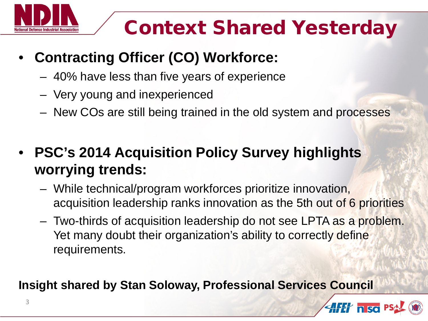

# Context Shared Yesterday

- **Contracting Officer (CO) Workforce:**
	- 40% have less than five years of experience
	- Very young and inexperienced
	- New COs are still being trained in the old system and processes
- **PSC's 2014 Acquisition Policy Survey highlights worrying trends:**
	- While technical/program workforces prioritize innovation, acquisition leadership ranks innovation as the 5th out of 6 priorities
	- Two-thirds of acquisition leadership do not see LPTA as a problem. Yet many doubt their organization's ability to correctly define requirements.

**Insight shared by Stan Soloway, Professional Services Council**

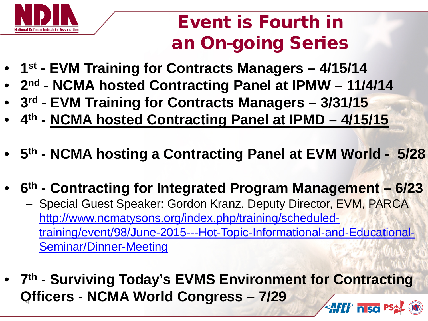

### Event is Fourth in an On-going Series

- **1st - EVM Training for Contracts Managers – 4/15/14**
- **2nd - NCMA hosted Contracting Panel at IPMW – 11/4/14**
- **3rd - EVM Training for Contracts Managers – 3/31/15**
- **4th - NCMA hosted Contracting Panel at IPMD – 4/15/15**
- **5th - NCMA hosting a Contracting Panel at EVM World 5/28**
- **6th - Contracting for Integrated Program Management – 6/23**
	- Special Guest Speaker: Gordon Kranz, Deputy Director, EVM, PARCA
	- [http://www.ncmatysons.org/index.php/training/scheduled](http://www.ncmatysons.org/index.php/training/scheduled-training/event/98/June-2015---Hot-Topic-Informational-and-Educational-Seminar/Dinner-Meeting)[training/event/98/June-2015---Hot-Topic-Informational-and-Educational-](http://www.ncmatysons.org/index.php/training/scheduled-training/event/98/June-2015---Hot-Topic-Informational-and-Educational-Seminar/Dinner-Meeting)[Seminar/Dinner-Meeting](http://www.ncmatysons.org/index.php/training/scheduled-training/event/98/June-2015---Hot-Topic-Informational-and-Educational-Seminar/Dinner-Meeting)
- **7th - Surviving Today's EVMS Environment for Contracting Officers** <sup>4</sup> **- NCMA World Congress – 7/29AFET n so PS**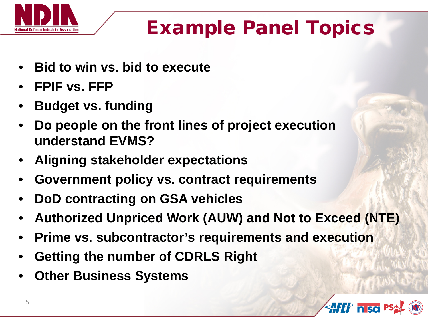

# Example Panel Topics

- **Bid to win vs. bid to execute**
- **FPIF vs. FFP**
- **Budget vs. funding**
- **Do people on the front lines of project execution understand EVMS?**
- **Aligning stakeholder expectations**
- **Government policy vs. contract requirements**
- **DoD contracting on GSA vehicles**
- **Authorized Unpriced Work (AUW) and Not to Exceed (NTE)**
- **Prime vs. subcontractor's requirements and execution**
- **Getting the number of CDRLS Right**
- **Other Business Systems**